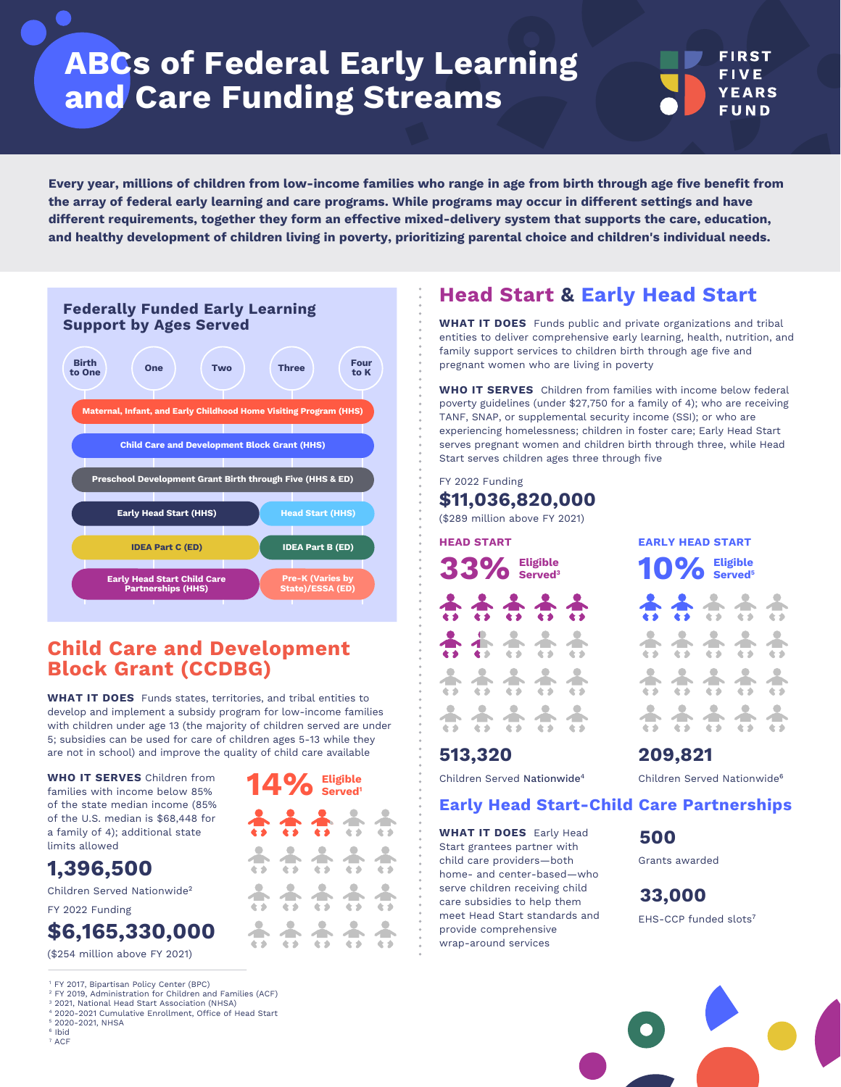# **ABCs of Federal Early Learning and Care Funding Streams**

**Every year, millions of children from low-income families who range in age from birth through age five benefit from the array of federal early learning and care programs. While programs may occur in different settings and have different requirements, together they form an effective mixed-delivery system that supports the care, education, and healthy development of children living in poverty, prioritizing parental choice and children's individual needs.**



### **Child Care and Development Block Grant (CCDBG)**

**WHAT IT DOES** Funds states, territories, and tribal entities to develop and implement a subsidy program for low-income families with children under age 13 (the majority of children served are under 5; subsidies can be used for care of children ages 5-13 while they are not in school) and improve the quality of child care available

**14% Eligible** 

 $\hat{a}$   $\hat{b}$ 

88888

**WHO IT SERVES** Children from families with income below 85% of the state median income (85% of the U.S. median is \$68,448 for a family of 4); additional state limits allowed

### **1,396,500**

Children Served Nationwide<sup>2</sup>

FY 2022 Funding

### **\$6,165,330,000**

(\$254 million above FY 2021)

<sup>1</sup> FY 2017, [Bipartisan Policy Center \(BPC\)](https://bipartisanpolicy.org/download/?file=/wp-content/uploads/2021/04/BPC-Child-Care-Toolkit.April-2021.pdf)

- 2 FY 2019, [Administration for Children and Families \(ACF\)](https://www.acf.hhs.gov/occ/data/fy-2019-preliminary-data-table-1)
- <sup>3</sup> 2021, [National Head Start Association \(NHSA\)](https://nhsa.org/wp-content/uploads/2022/02/Start-Head-Start.pdf) 2020-2021 Cumulative Enrollment, [Office of Head Start](https://eclkc.ohs.acf.hhs.gov/sites/default/files/pdf/no-search/service-snapshot-all-programs-2020-2021.pdf)
- 2020-2021, [NHSA](https://nhsa.org/wp-content/uploads/2021/12/Early-Head-Start-Facts-and-Figures_21-22-1.pdf)
- 6 Ibid
- 7 ACF

### **Head Start & Early Head Start**

**WHAT IT DOES** Funds public and private organizations and tribal entities to deliver comprehensive early learning, health, nutrition, and family support services to children birth through age five and pregnant women who are living in poverty

**WHO IT SERVES** Children from families with income below federal poverty guidelines (under \$27,750 for a family of 4); who are receiving TANF, SNAP, or supplemental security income (SSI); or who are experiencing homelessness; children in foster care; Early Head Start serves pregnant women and children birth through three, while Head Start serves children ages three through five

#### FY 2022 Funding **\$11,036,820,000**

(\$289 million above FY 2021)

| <b>HEAD START</b>    |                 |     |  |  |  |  |  |  |
|----------------------|-----------------|-----|--|--|--|--|--|--|
| 33% Eligible         |                 |     |  |  |  |  |  |  |
| $\frac{1}{\sqrt{2}}$ | <b>AAA</b>      |     |  |  |  |  |  |  |
|                      | **<br>$\bullet$ | * * |  |  |  |  |  |  |
|                      |                 |     |  |  |  |  |  |  |
|                      |                 |     |  |  |  |  |  |  |

### **513,320**

 $10\%$  **Eligible** 88888

**EARLY HEAD START** 

**FIRST FIVE YEARS** FUND

|  | *****<br>ペン・ベン・ベン・ベン・ベン |  |
|--|-------------------------|--|
|  | *****<br>ペン・ベン・ベン・ベン・ベン |  |
|  | *****<br>スクースクースクースクースク |  |

Children Served Nationwide4

### **Early Head Start-Child Care Partnerships**

**WHAT IT DOES** Early Head Start grantees partner with child care providers—both home- and center-based—who serve children receiving child care subsidies to help them meet Head Start standards and provide comprehensive wrap-around services

Children Served Nationwide<sup>6</sup>

# **500**

**209,821**

Grants awarded

FHS-CCP funded slots<sup>7</sup> **33,000**